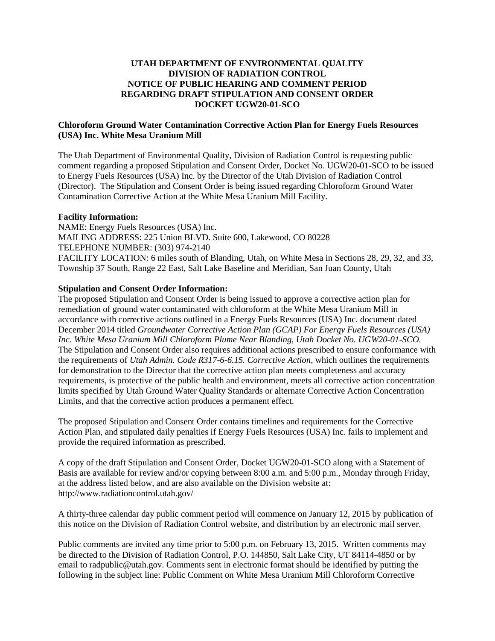## **UTAH DEPARTMENT OF ENVIRONMENTAL QUALITY DIVISION OF RADIATION CONTROL NOTICE OF PUBLIC HEARING AND COMMENT PERIOD REGARDING DRAFT STIPULATION AND CONSENT ORDER DOCKET UGW20-01-SCO**

## **Chloroform Ground Water Contamination Corrective Action Plan for Energy Fuels Resources (USA) Inc. White Mesa Uranium Mill**

The Utah Department of Environmental Quality, Division of Radiation Control is requesting public comment regarding a proposed Stipulation and Consent Order, Docket No. UGW20-01-SCO to be issued to Energy Fuels Resources (USA) Inc. by the Director of the Utah Division of Radiation Control (Director). The Stipulation and Consent Order is being issued regarding Chloroform Ground Water Contamination Corrective Action at the White Mesa Uranium Mill Facility.

## **Facility Information:**

NAME: Energy Fuels Resources (USA) Inc. MAILING ADDRESS: 225 Union BLVD. Suite 600, Lakewood, CO 80228 TELEPHONE NUMBER: (303) 974-2140 FACILITY LOCATION: 6 miles south of Blanding, Utah, on White Mesa in Sections 28, 29, 32, and 33, Township 37 South, Range 22 East, Salt Lake Baseline and Meridian, San Juan County, Utah

## **Stipulation and Consent Order Information:**

The proposed Stipulation and Consent Order is being issued to approve a corrective action plan for remediation of ground water contaminated with chloroform at the White Mesa Uranium Mill in accordance with corrective actions outlined in a Energy Fuels Resources (USA) Inc. document dated December 2014 titled *Groundwater Corrective Action Plan (GCAP) For Energy Fuels Resources (USA) Inc. White Mesa Uranium Mill Chloroform Plume Near Blanding, Utah Docket No. UGW20-01-SCO.* The Stipulation and Consent Order also requires additional actions prescribed to ensure conformance with the requirements of *Utah Admin. Code R317-6-6.15. Corrective Action,* which outlines the requirements for demonstration to the Director that the corrective action plan meets completeness and accuracy requirements, is protective of the public health and environment, meets all corrective action concentration limits specified by Utah Ground Water Quality Standards or alternate Corrective Action Concentration Limits, and that the corrective action produces a permanent effect.

The proposed Stipulation and Consent Order contains timelines and requirements for the Corrective Action Plan, and stipulated daily penalties if Energy Fuels Resources (USA) Inc. fails to implement and provide the required information as prescribed.

A copy of the draft Stipulation and Consent Order, Docket UGW20-01-SCO along with a Statement of Basis are available for review and/or copying between 8:00 a.m. and 5:00 p.m., Monday through Friday, at the address listed below, and are also available on the Division website at: http://www.radiationcontrol.utah.gov/

A thirty-three calendar day public comment period will commence on January 12, 2015 by publication of this notice on the Division of Radiation Control website, and distribution by an electronic mail server.

Public comments are invited any time prior to 5:00 p.m. on February 13, 2015. Written comments may be directed to the Division of Radiation Control, P.O. 144850, Salt Lake City, UT 84114-4850 or by email to radpublic@utah.gov. Comments sent in electronic format should be identified by putting the following in the subject line: Public Comment on White Mesa Uranium Mill Chloroform Corrective